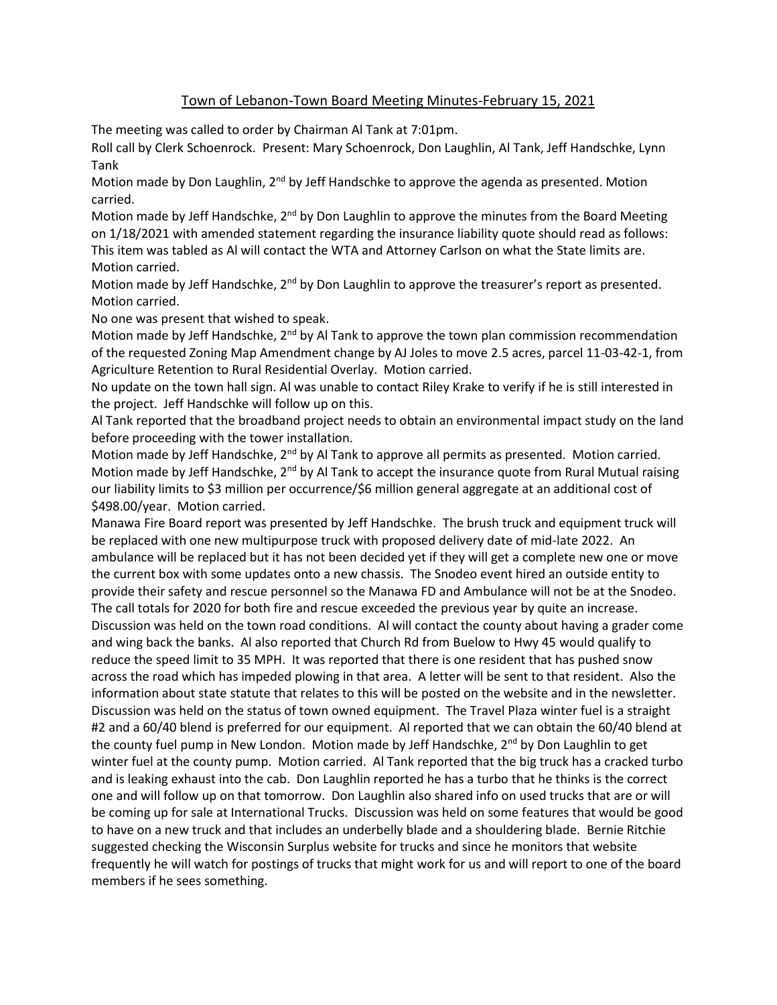## Town of Lebanon-Town Board Meeting Minutes-February 15, 2021

The meeting was called to order by Chairman Al Tank at 7:01pm.

Roll call by Clerk Schoenrock. Present: Mary Schoenrock, Don Laughlin, Al Tank, Jeff Handschke, Lynn Tank

Motion made by Don Laughlin, 2<sup>nd</sup> by Jeff Handschke to approve the agenda as presented. Motion carried.

Motion made by Jeff Handschke, 2<sup>nd</sup> by Don Laughlin to approve the minutes from the Board Meeting on 1/18/2021 with amended statement regarding the insurance liability quote should read as follows: This item was tabled as Al will contact the WTA and Attorney Carlson on what the State limits are. Motion carried.

Motion made by Jeff Handschke, 2<sup>nd</sup> by Don Laughlin to approve the treasurer's report as presented. Motion carried.

No one was present that wished to speak.

Motion made by Jeff Handschke, 2<sup>nd</sup> by Al Tank to approve the town plan commission recommendation of the requested Zoning Map Amendment change by AJ Joles to move 2.5 acres, parcel 11-03-42-1, from Agriculture Retention to Rural Residential Overlay. Motion carried.

No update on the town hall sign. Al was unable to contact Riley Krake to verify if he is still interested in the project. Jeff Handschke will follow up on this.

Al Tank reported that the broadband project needs to obtain an environmental impact study on the land before proceeding with the tower installation.

Motion made by Jeff Handschke,  $2<sup>nd</sup>$  by Al Tank to approve all permits as presented. Motion carried. Motion made by Jeff Handschke, 2<sup>nd</sup> by Al Tank to accept the insurance quote from Rural Mutual raising our liability limits to \$3 million per occurrence/\$6 million general aggregate at an additional cost of \$498.00/year. Motion carried.

Manawa Fire Board report was presented by Jeff Handschke. The brush truck and equipment truck will be replaced with one new multipurpose truck with proposed delivery date of mid-late 2022. An ambulance will be replaced but it has not been decided yet if they will get a complete new one or move the current box with some updates onto a new chassis. The Snodeo event hired an outside entity to provide their safety and rescue personnel so the Manawa FD and Ambulance will not be at the Snodeo. The call totals for 2020 for both fire and rescue exceeded the previous year by quite an increase. Discussion was held on the town road conditions. Al will contact the county about having a grader come and wing back the banks. Al also reported that Church Rd from Buelow to Hwy 45 would qualify to reduce the speed limit to 35 MPH. It was reported that there is one resident that has pushed snow across the road which has impeded plowing in that area. A letter will be sent to that resident. Also the information about state statute that relates to this will be posted on the website and in the newsletter. Discussion was held on the status of town owned equipment. The Travel Plaza winter fuel is a straight #2 and a 60/40 blend is preferred for our equipment. Al reported that we can obtain the 60/40 blend at the county fuel pump in New London. Motion made by Jeff Handschke,  $2<sup>nd</sup>$  by Don Laughlin to get winter fuel at the county pump. Motion carried. Al Tank reported that the big truck has a cracked turbo and is leaking exhaust into the cab. Don Laughlin reported he has a turbo that he thinks is the correct one and will follow up on that tomorrow. Don Laughlin also shared info on used trucks that are or will be coming up for sale at International Trucks. Discussion was held on some features that would be good to have on a new truck and that includes an underbelly blade and a shouldering blade. Bernie Ritchie suggested checking the Wisconsin Surplus website for trucks and since he monitors that website frequently he will watch for postings of trucks that might work for us and will report to one of the board members if he sees something.